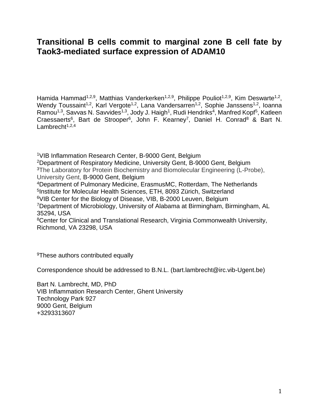# **Transitional B cells commit to marginal zone B cell fate by Taok3-mediated surface expression of ADAM10**

Hamida Hammad<sup>1,2,9</sup>, Matthias Vanderkerken<sup>1,2,9</sup>, Philippe Pouliot<sup>1,2,9</sup>, Kim Deswarte<sup>1,2</sup>, Wendy Toussaint<sup>1,2</sup>, Karl Vergote<sup>1,2</sup>, Lana Vandersarren<sup>1,2</sup>, Sophie Janssens<sup>1,2</sup>, Ioanna Ramou<sup>1,3</sup>, Savvas N. Savvides<sup>1,3</sup>, Jody J. Haigh<sup>1</sup>, Rudi Hendriks<sup>4</sup>, Manfred Kopf<sup>5</sup>, Katleen Craessaerts<sup>6</sup>, Bart de Strooper<sup>6</sup>, John F. Kearney<sup>7</sup>, Daniel H. Conrad<sup>8</sup> & Bart N. Lambrecht $1,2,4$ 

VIB Inflammation Research Center, B-9000 Gent, Belgium Department of Respiratory Medicine, University Gent, B-9000 Gent, Belgium <sup>3</sup>The Laboratory for Protein Biochemistry and Biomolecular Engineering (L-Probe), University Gent, B-9000 Gent, Belgium Department of Pulmonary Medicine, ErasmusMC, Rotterdam, The Netherlands Institute for Molecular Health Sciences, ETH, 8093 Zürich, Switzerland VIB Center for the Biology of Disease, VIB, B-2000 Leuven, Belgium Department of Microbiology, University of Alabama at Birmingham, Birmingham, AL 35294, USA Center for Clinical and Translational Research, Virginia Commonwealth University, Richmond, VA 23298, USA

<sup>9</sup>These authors contributed equally

Correspondence should be addressed to B.N.L. [\(bart.lambrecht@irc.vib-Ugent.be\)](mailto:bart.lambrecht@irc.vib-Ugent.be)

Bart N. Lambrecht, MD, PhD VIB Inflammation Research Center, Ghent University Technology Park 927 9000 Gent, Belgium +3293313607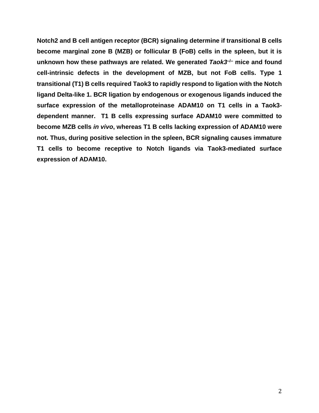**Notch2 and B cell antigen receptor (BCR) signaling determine if transitional B cells become marginal zone B (MZB) or follicular B (FoB) cells in the spleen, but it is unknown how these pathways are related. We generated** *Taok3***–/– mice and found cell-intrinsic defects in the development of MZB, but not FoB cells. Type 1 transitional (T1) B cells required Taok3 to rapidly respond to ligation with the Notch ligand Delta-like 1. BCR ligation by endogenous or exogenous ligands induced the surface expression of the metalloproteinase ADAM10 on T1 cells in a Taok3 dependent manner. T1 B cells expressing surface ADAM10 were committed to become MZB cells** *in vivo***, whereas T1 B cells lacking expression of ADAM10 were not. Thus, during positive selection in the spleen, BCR signaling causes immature T1 cells to become receptive to Notch ligands via Taok3-mediated surface expression of ADAM10.**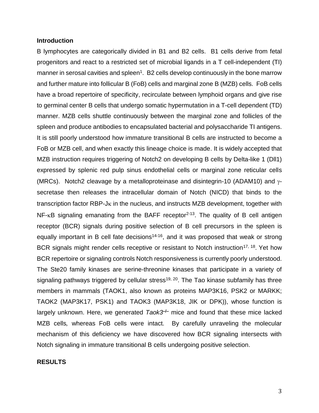#### **Introduction**

B lymphocytes are categorically divided in B1 and B2 cells. B1 cells derive from fetal progenitors and react to a restricted set of microbial ligands in a T cell-independent (TI) manner in serosal cavities and spleen<sup>[1](#page-23-0)</sup>. B2 cells develop continuously in the bone marrow and further mature into follicular B (FoB) cells and marginal zone B (MZB) cells. FoB cells have a broad repertoire of specificity, recirculate between lymphoid organs and give rise to germinal center B cells that undergo somatic hypermutation in a T-cell dependent (TD) manner. MZB cells shuttle continuously between the marginal zone and follicles of the spleen and produce antibodies to encapsulated bacterial and polysaccharide TI antigens. It is still poorly understood how immature transitional B cells are instructed to become a FoB or MZB cell, and when exactly this lineage choice is made. It is widely accepted that MZB instruction requires triggering of Notch2 on developing B cells by Delta-like 1 (Dll1) expressed by splenic red pulp sinus endothelial cells or marginal zone reticular cells (MRCs). Notch2 cleavage by a metalloproteinase and disintegrin-10 (ADAM10) and  $\gamma$ secretase then releases the intracellular domain of Notch (NICD) that binds to the transcription factor RBP-J $\kappa$  in the nucleus, and instructs MZB development, together with  $NF$ - $\kappa$ B signaling emanating from the BAFF receptor<sup>[2-13](#page-23-1)</sup>. The quality of B cell antigen receptor (BCR) signals during positive selection of B cell precursors in the spleen is equally important in B cell fate decisions<sup>[14-16](#page-24-0)</sup>, and it was proposed that weak or strong BCR signals might render cells receptive or resistant to Notch instruction<sup>[17,](#page-24-1) [18](#page-24-2)</sup>. Yet how BCR repertoire or signaling controls Notch responsiveness is currently poorly understood. The Ste20 family kinases are serine-threonine kinases that participate in a variety of signaling pathways triggered by cellular stress<sup>[19,](#page-24-3) [20](#page-24-4)</sup>. The Tao kinase subfamily has three members in mammals (TAOK1, also known as proteins MAP3K16, PSK2 or MARKK; TAOK2 (MAP3K17, PSK1) and TAOK3 (MAP3K18, JIK or DPK)), whose function is largely unknown. Here, we generated Taok3<sup>-/-</sup> mice and found that these mice lacked MZB cells*,* whereas FoB cells were intact. By carefully unraveling the molecular mechanism of this deficiency we have discovered how BCR signaling intersects with Notch signaling in immature transitional B cells undergoing positive selection.

#### **RESULTS**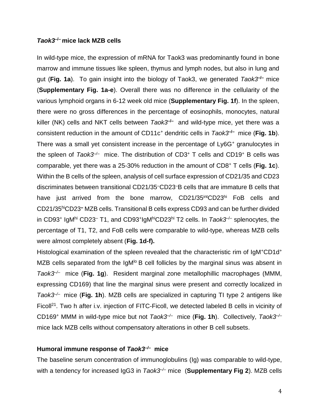#### *Taok3***–/– mice lack MZB cells**

In wild-type mice, the expression of mRNA for Taok3 was predominantly found in bone marrow and immune tissues like spleen, thymus and lymph nodes, but also in lung and gut (Fig. 1a). To gain insight into the biology of Taok3, we generated Taok3<sup>-/-</sup> mice (**Supplementary Fig. 1a-e**). Overall there was no difference in the cellularity of the various lymphoid organs in 6-12 week old mice (**Supplementary Fig. 1f**). In the spleen, there were no gross differences in the percentage of eosinophils, monocytes, natural killer (NK) cells and NKT cells between *Taok3<sup>-/-</sup>* and wild-type mice, yet there was a consistent reduction in the amount of CD11c<sup>+</sup> dendritic cells in *Taok3***–/–** mice (**Fig. 1b**). There was a small yet consistent increase in the percentage of Ly6G<sup>+</sup> granulocytes in the spleen of *Taok3–/–* mice. The distribution of CD3<sup>+</sup> T cells and CD19<sup>+</sup> B cells was comparable, yet there was a 25-30% reduction in the amount of CD8<sup>+</sup> T cells (**Fig. 1c**). Within the B cells of the spleen, analysis of cell surface expression of CD21/35 and CD23 discriminates between transitional CD21/35–CD23–B cells that are immature B cells that have just arrived from the bone marrow, CD21/35<sup>int</sup>CD23hi FoB cells and CD21/35hiCD23– MZB cells. Transitional B cells express CD93 and can be further divided in CD93<sup>+</sup> IgM<sup>hi</sup> CD23<sup>-</sup> T1, and CD93<sup>+</sup>IgM<sup>hi</sup>CD23<sup>hi</sup> T2 cells. In *Taok3<sup>-/-</sup>* splenocytes, the percentage of T1, T2, and FoB cells were comparable to wild-type, whereas MZB cells were almost completely absent (**Fig. 1d-f).** 

Histological examination of the spleen revealed that the characteristic rim of IgM<sup>+</sup>CD1d<sup>+</sup> MZB cells separated from the  $IgM^{\circ}B$  cell follicles by the marginal sinus was absent in *Taok3–/–* mice (**Fig. 1g**). Resident marginal zone metallophillic macrophages (MMM, expressing CD169) that line the marginal sinus were present and correctly localized in *Taok3–/–* mice (**Fig. 1h**). MZB cells are specialized in capturing TI type 2 antigens like Ficoll<sup>[21](#page-24-5)</sup>. Two h after i.v. injection of FITC-Ficoll, we detected labeled B cells in vicinity of CD169<sup>+</sup> MMM in wild-type mice but not *Taok3–/–* mice (**Fig. 1h**). Collectively, *Taok3–/–* mice lack MZB cells without compensatory alterations in other B cell subsets.

#### **Humoral immune response of** *Taok3–/–* **mice**

The baseline serum concentration of immunoglobulins (Ig) was comparable to wild-type, with a tendency for increased IgG3 in *Taok3–/–* mice(**Supplementary Fig 2**). MZB cells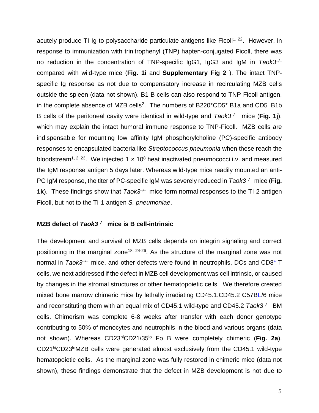acutely produce TI Ig to polysaccharide particulate antigens like Ficoll<sup>[1,](#page-23-0) [22](#page-25-0)</sup>. However, in response to immunization with trinitrophenyl (TNP) hapten-conjugated Ficoll, there was no reduction in the concentration of TNP-specific IgG1, IgG3 and IgM in *Taok3–/–* compared with wild-type mice (**Fig. 1i** and **Supplementary Fig 2** ). The intact TNPspecific Ig response as not due to compensatory increase in recirculating MZB cells outside the spleen (data not shown). B1 B cells can also respond to TNP-Ficoll antigen, in the complete absence of MZB cells<sup>[2](#page-23-1)</sup>. The numbers of B220<sup>+</sup>CD5<sup>+</sup> B1a and CD5<sup>-</sup> B1b B cells of the peritoneal cavity were identical in wild-type and  $Taok3<sup>-/-</sup>$  mice (Fig. 1j), which may explain the intact humoral immune response to TNP-Ficoll. MZB cells are indispensable for mounting low affinity IgM phosphorylcholine (PC)-specific antibody responses to encapsulated bacteria like *Streptococcus pneumonia* when these reach the bloodstream<sup>[1,](#page-23-0) [2,](#page-23-1) [23](#page-25-1)</sup>. We injected 1  $\times$  10<sup>8</sup> heat inactivated pneumococci i.v. and measured the IgM response antigen 5 days later. Whereas wild-type mice readily mounted an anti-PC IgM response, the titer of PC-specific IgM was severely reduced in *Taok3–/–* mice (**Fig. 1k**). These findings show that *Taok3<sup>→</sup>* mice form normal responses to the TI-2 antigen Ficoll, but not to the TI-1 antigen *S. pneumoniae*.

### **MZB defect of** *Taok3–/–* **mice is B cell-intrinsic**

The development and survival of MZB cells depends on integrin signaling and correct positioning in the marginal zone<sup>[18,](#page-24-2) [24-26](#page-25-2)</sup>. As the structure of the marginal zone was not normal in *Taok3<sup>-/-</sup>* mice, and other defects were found in neutrophils, DCs and CD8<sup>+</sup> T cells, we next addressed if the defect in MZB cell development was cell intrinsic, or caused by changes in the stromal structures or other hematopoietic cells. We therefore created mixed bone marrow chimeric mice by lethally irradiating CD45.1.CD45.2 C57BL/6 mice and reconstituting them with an equal mix of CD45.1 wild-type and CD45.2 *Taok3–/–* BM cells. Chimerism was complete 6-8 weeks after transfer with each donor genotype contributing to 50% of monocytes and neutrophils in the blood and various organs (data not shown). Whereas CD23hiCD21/35lo Fo B were completely chimeric (**Fig. 2a**), CD21hiCD23<sup>lo</sup>MZB cells were generated almost exclusively from the CD45.1 wild-type hematopoietic cells. As the marginal zone was fully restored in chimeric mice (data not shown), these findings demonstrate that the defect in MZB development is not due to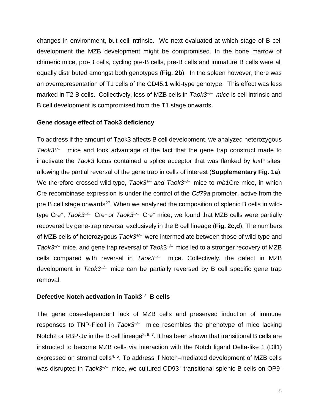changes in environment, but cell-intrinsic. We next evaluated at which stage of B cell development the MZB development might be compromised. In the bone marrow of chimeric mice, pro-B cells, cycling pre-B cells, pre-B cells and immature B cells were all equally distributed amongst both genotypes (**Fig. 2b**). In the spleen however, there was an overrepresentation of T1 cells of the CD45.1 wild-type genotype. This effect was less marked in T2 B cells. Collectively, loss of MZB cells in *Taok3<sup>-/-</sup>* mice is cell intrinsic and B cell development is compromised from the T1 stage onwards.

### **Gene dosage effect of Taok3 deficiency**

To address if the amount of Taok3 affects B cell development, we analyzed heterozygous *Taok3+/–* mice and took advantage of the fact that the gene trap construct made to inactivate the *Taok3* locus contained a splice acceptor that was flanked by *lox*P sites, allowing the partial reversal of the gene trap in cells of interest (**Supplementary Fig. 1a**). We therefore crossed wild-type, *Taok3+/– and Taok3–/–* mice to *mb1*Cre mice, in which Cre recombinase expression is under the control of the *Cd79a* promoter, active from the pre B cell stage onwards<sup>[27](#page-25-3)</sup>. When we analyzed the composition of splenic B cells in wildtype Cre<sup>+</sup> , *Taok3–/–* Cre*–* or *Taok3–/–* Cre<sup>+</sup> mice, we found that MZB cells were partially recovered by gene-trap reversal exclusively in the B cell lineage (**Fig. 2c,d**). The numbers of MZB cells of heterozygous *Taok3+/–* were intermediate between those of wild-type and *Taok3<sup>→</sup>* mice, and gene trap reversal of *Taok3<sup>+/-</sup>* mice led to a stronger recovery of MZB cells compared with reversal in *Taok3–/–* mice. Collectively, the defect in MZB development in *Taok3–/–* mice can be partially reversed by B cell specific gene trap removal.

### **Defective Notch activation in Taok3***–/–* **B cells**

The gene dose-dependent lack of MZB cells and preserved induction of immune responses to TNP-Ficoll in *Taok3<sup>-/-</sup>* mice resembles the phenotype of mice lacking Notch2 or RBP-J $\kappa$  in the B cell lineage<sup>[2,](#page-23-1) [6,](#page-23-2) [7](#page-23-3)</sup>. It has been shown that transitional B cells are instructed to become MZB cells via interaction with the Notch ligand Delta-like 1 (Dll1) expressed on stromal cells<sup>[4,](#page-23-4) [5](#page-23-5)</sup>. To address if Notch–mediated development of MZB cells was disrupted in *Taok3<sup>-/-</sup>* mice, we cultured CD93<sup>+</sup> transitional splenic B cells on OP9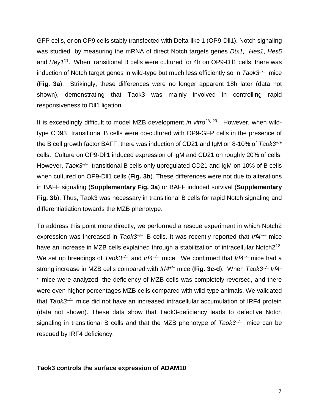GFP cells, or on OP9 cells stably transfected with Delta-like 1 (OP9-Dll1). Notch signaling was studied by measuring the mRNA of direct Notch targets genes *Dtx1, Hes1*, *Hes5* and *Hey1*[11](#page-24-6). When transitional B cells were cultured for 4h on OP9-Dll1 cells, there was induction of Notch target genes in wild-type but much less efficiently so in *Taok3–/–* mice (**Fig. 3a**). Strikingly, these differences were no longer apparent 18h later (data not shown), demonstrating that Taok3 was mainly involved in controlling rapid responsiveness to Dll1 ligation.

It is exceedingly difficult to model MZB development *in vitro*<sup>[28,](#page-25-4) [29](#page-25-5)</sup>. However, when wildtype CD93<sup>+</sup> transitional B cells were co-cultured with OP9-GFP cells in the presence of the B cell growth factor BAFF, there was induction of CD21 and IgM on 8-10% of *Taok3*+/+ cells. Culture on OP9-Dll1 induced expression of IgM and CD21 on roughly 20% of cells. However, *Taok3<sup>-/-</sup>* transitional B cells only upregulated CD21 and IgM on 10% of B cells when cultured on OP9-Dll1 cells (**Fig. 3b**). These differences were not due to alterations in BAFF signaling (**Supplementary Fig. 3a**) or BAFF induced survival (**Supplementary Fig. 3b**). Thus, Taok3 was necessary in transitional B cells for rapid Notch signaling and differentiatiation towards the MZB phenotype.

To address this point more directly, we performed a rescue experiment in which Notch2 expression was increased in *Taok3–/–* B cells. It was recently reported that *Irf4–/–* mice have an increase in MZB cells explained through a stabilization of intracellular Notch2<sup>[12](#page-24-7)</sup>. We set up breedings of *Taok3<sup>-/-</sup>* and *Irf4<sup>-/-</sup>* mice. We confirmed that *Irf4<sup>-/-</sup>* mice had a strong increase in MZB cells compared with *Irf4*+/+ mice (**Fig. 3c-d**). When *Taok3–/– Irf4– /–* mice were analyzed, the deficiency of MZB cells was completely reversed, and there were even higher percentages MZB cells compared with wild-type animals. We validated that *Taok3<sup>-/-</sup>* mice did not have an increased intracellular accumulation of IRF4 protein (data not shown). These data show that Taok3-deficiency leads to defective Notch signaling in transitional B cells and that the MZB phenotype of *Taok3–/–* mice can be rescued by IRF4 deficiency.

### **Taok3 controls the surface expression of ADAM10**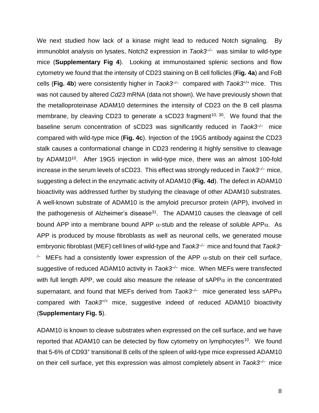We next studied how lack of a kinase might lead to reduced Notch signaling. By immunoblot analysis on lysates, Notch2 expression in *Taok3<sup>-/-</sup>* was similar to wild-type mice (**Supplementary Fig 4**). Looking at immunostained splenic sections and flow cytometry we found that the intensity of CD23 staining on B cell follicles (**Fig. 4a**) and FoB cells (**Fig. 4b**) were consistently higher in *Taok3–/–* compared with *Taok3*+/+ mice. This was not caused by altered *Cd23* mRNA (data not shown). We have previously shown that the metalloproteinase ADAM10 determines the intensity of CD23 on the B cell plasma membrane, by cleaving CD23 to generate a sCD23 fragment<sup>[10,](#page-24-8) [30](#page-25-6)</sup>. We found that the baseline serum concentration of sCD23 was significantly reduced in *Taok3–/–* mice compared with wild-type mice (**Fig. 4c**). Injection of the 19G5 antibody against the CD23 stalk causes a conformational change in CD23 rendering it highly sensitive to cleavage by ADAM[10](#page-24-8)<sup>10</sup>. After 19G5 injection in wild-type mice, there was an almost 100-fold increase in the serum levels of sCD23. This effect was strongly reduced in *Taok3–/–* mice, suggesting a defect in the enzymatic activity of ADAM10 (**Fig. 4d**). The defect in ADAM10 bioactivity was addressed further by studying the cleavage of other ADAM10 substrates. A well-known substrate of ADAM10 is the amyloid precursor protein (APP), involved in the pathogenesis of Alzheimer's disease<sup>[31](#page-25-7)</sup>. The ADAM10 causes the cleavage of cell bound APP into a membrane bound APP  $\alpha$ -stub and the release of soluble APP $\alpha$ . As APP is produced by mouse fibroblasts as well as neuronal cells, we generated mouse embryonic fibroblast (MEF) cell lines of wild-type and *Taok3<sup>-/-</sup>* mice and found that *Taok3*<sup>-</sup>  $\ell$  MEFs had a consistently lower expression of the APP  $\alpha$ -stub on their cell surface, suggestive of reduced ADAM10 activity in *Taok3<sup>-/-</sup>* mice. When MEFs were transfected with full length APP, we could also measure the release of sAPP $\alpha$  in the concentrated supernatant, and found that MEFs derived from *Taok3<sup>-/-</sup>* mice generated less sAPP $\alpha$ compared with *Taok3*+/+ mice, suggestive indeed of reduced ADAM10 bioactivity (**Supplementary Fig. 5**).

ADAM10 is known to cleave substrates when expressed on the cell surface, and we have reported that ADAM[10](#page-24-8) can be detected by flow cytometry on lymphocytes<sup>10</sup>. We found that 5-6% of CD93<sup>+</sup> transitional B cells of the spleen of wild-type mice expressed ADAM10 on their cell surface, yet this expression was almost completely absent in *Taok3–/–* mice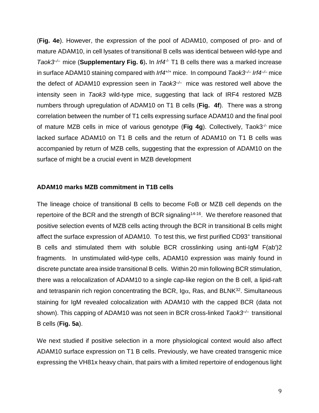(**Fig. 4e**). However, the expression of the pool of ADAM10, composed of pro- and of mature ADAM10, in cell lysates of transitional B cells was identical between wild-type and *Taok3<sup>→</sup>* mice (**Supplementary Fig. 6**). In *Irf4<sup>* $/$ *</sup>* T1 B cells there was a marked increase in surface ADAM10 staining compared with *Irf4*<sup>+/+</sup> mice. In compound *Taok3<sup>-/-</sup> Irf4<sup>-/-</sup>* mice the defect of ADAM10 expression seen in *Taok3–/–* mice was restored well above the intensity seen in *Taok3* wild-type mice, suggesting that lack of IRF4 restored MZB numbers through upregulation of ADAM10 on T1 B cells (**Fig. 4f**). There was a strong correlation between the number of T1 cells expressing surface ADAM10 and the final pool of mature MZB cells in mice of various genotype (**Fig 4g**). Collectively, Taok3-/- mice lacked surface ADAM10 on T1 B cells and the return of ADAM10 on T1 B cells was accompanied by return of MZB cells, suggesting that the expression of ADAM10 on the surface of might be a crucial event in MZB development

### **ADAM10 marks MZB commitment in T1B cells**

The lineage choice of transitional B cells to become FoB or MZB cell depends on the repertoire of the BCR and the strength of BCR signaling<sup>[14-16](#page-24-0)</sup>. We therefore reasoned that positive selection events of MZB cells acting through the BCR in transitional B cells might affect the surface expression of ADAM10. To test this, we first purified CD93<sup>+</sup> transitional B cells and stimulated them with soluble BCR crosslinking using anti-IgM F(ab')2 fragments. In unstimulated wild-type cells, ADAM10 expression was mainly found in discrete punctate area inside transitional B cells. Within 20 min following BCR stimulation, there was a relocalization of ADAM10 to a single cap-like region on the B cell, a lipid-raft and tetraspanin rich region concentrating the BCR, Ig $\alpha$ , Ras, and BLNK $^{32}$  $^{32}$  $^{32}$ . Simultaneous staining for IgM revealed colocalization with ADAM10 with the capped BCR (data not shown). This capping of ADAM10 was not seen in BCR cross-linked *Taok3–/–* transitional B cells (**Fig. 5a**).

We next studied if positive selection in a more physiological context would also affect ADAM10 surface expression on T1 B cells. Previously, we have created transgenic mice expressing the VH81x heavy chain, that pairs with a limited repertoire of endogenous light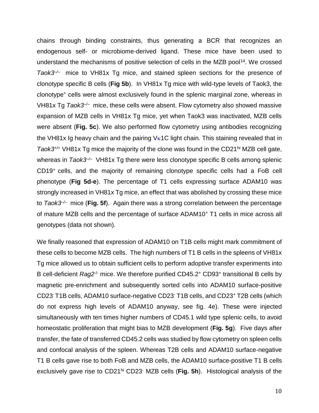chains through binding constraints, thus generating a BCR that recognizes an endogenous self- or microbiome-derived ligand. These mice have been used to understand the mechanisms of positive selection of cells in the MZB pool<sup>[14](#page-24-0)</sup>. We crossed *Taok3–/–* mice to VH81x Tg mice, and stained spleen sections for the presence of clonotype specific B cells (**Fig 5b**). In VH81x Tg mice with wild-type levels of Taok3, the clonotype<sup>+</sup> cells were almost exclusively found in the splenic marginal zone, whereas in VH81x Tg *Taok3–/–* mice, these cells were absent. Flow cytometry also showed massive expansion of MZB cells in VH81x Tg mice, yet when Taok3 was inactivated, MZB cells were absent (**Fig. 5c**). We also performed flow cytometry using antibodies recognizing the VH81x Ig heavy chain and the pairing  $V_{\kappa}$ 1C light chain. This staining revealed that in *Taok3*<sup>+/+</sup> VH81x Tg mice the majority of the clone was found in the CD21<sup>hi</sup> MZB cell gate, whereas in *Taok3<sup>→</sup>* VH81x Tg there were less clonotype specific B cells among splenic CD19<sup>+</sup> cells, and the majority of remaining clonotype specific cells had a FoB cell phenotype (**Fig 5d-e**). The percentage of T1 cells expressing surface ADAM10 was strongly increased in VH81x Tg mice, an effect that was abolished by crossing these mice to *Taok3–/–* mice (**Fig. 5f**). Again there was a strong correlation between the percentage of mature MZB cells and the percentage of surface ADAM10<sup>+</sup> T1 cells in mice across all genotypes (data not shown).

We finally reasoned that expression of ADAM10 on T1B cells might mark commitment of these cells to become MZB cells. The high numbers of T1 B cells in the spleens of VH81x Tg mice allowed us to obtain sufficient cells to perform adoptive transfer experiments into B cell-deficient Rag2<sup>-/-</sup> mice. We therefore purified CD45.2<sup>+</sup> CD93<sup>+</sup> transitional B cells by magnetic pre-enrichment and subsequently sorted cells into ADAM10 surface-positive CD23-T1B cells, ADAM10 surface-negative CD23- T1B cells, and CD23<sup>+</sup> T2B cells (which do not express high levels of ADAM10 anyway, see fig. 4e). These were injected simultaneously with ten times higher numbers of CD45.1 wild type splenic cells, to avoid homeostatic proliferation that might bias to MZB development (**Fig. 5g**). Five days after transfer, the fate of transferred CD45.2 cells was studied by flow cytometry on spleen cells and confocal analysis of the spleen. Whereas T2B cells and ADAM10 surface-negative T1 B cells gave rise to both FoB and MZB cells, the ADAM10 surface-positive T1 B cells exclusively gave rise to CD21hi CD23- MZB cells (**Fig. 5h**). Histological analysis of the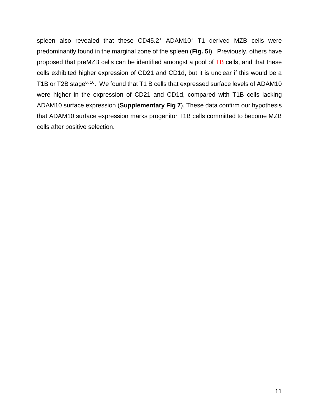spleen also revealed that these CD45.2<sup>+</sup> ADAM10<sup>+</sup> T1 derived MZB cells were predominantly found in the marginal zone of the spleen (**Fig. 5i**). Previously, others have proposed that preMZB cells can be identified amongst a pool of TB cells, and that these cells exhibited higher expression of CD21 and CD1d, but it is unclear if this would be a T1B or T2B stage<sup>[6,](#page-23-2) [16](#page-24-9)</sup>. We found that T1 B cells that expressed surface levels of ADAM10 were higher in the expression of CD21 and CD1d, compared with T1B cells lacking ADAM10 surface expression (**Supplementary Fig 7**). These data confirm our hypothesis that ADAM10 surface expression marks progenitor T1B cells committed to become MZB cells after positive selection.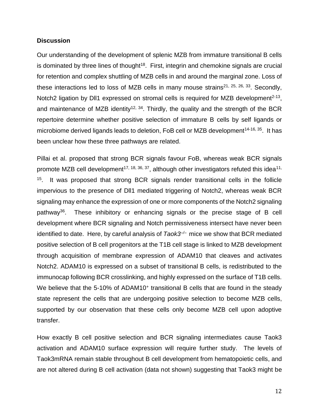#### **Discussion**

Our understanding of the development of splenic MZB from immature transitional B cells is dominated by three lines of thought<sup>[18](#page-24-2)</sup>. First, integrin and chemokine signals are crucial for retention and complex shuttling of MZB cells in and around the marginal zone. Loss of these interactions led to loss of MZB cells in many mouse strains<sup>[21,](#page-24-5) [25,](#page-25-9) [26,](#page-25-10) [33](#page-25-11)</sup>. Secondly, Notch2 ligation by DII1 expressed on stromal cells is required for MZB development<sup>[2-13](#page-23-1)</sup>, and maintenance of MZB identity<sup>[12,](#page-24-7) [34](#page-26-0)</sup>. Thirdly, the quality and the strength of the BCR repertoire determine whether positive selection of immature B cells by self ligands or microbiome derived ligands leads to deletion, FoB cell or MZB development<sup>[14-16,](#page-24-0) [35](#page-26-1)</sup>. It has been unclear how these three pathways are related.

Pillai et al. proposed that strong BCR signals favour FoB, whereas weak BCR signals promote MZB cell development<sup>[17,](#page-24-1) [18,](#page-24-2) [36,](#page-26-2) [37](#page-26-3)</sup>, although other investigators refuted this idea<sup>[11,](#page-24-6)</sup> <sup>[15](#page-24-10)</sup>. It was proposed that strong BCR signals render transitional cells in the follicle impervious to the presence of Dll1 mediated triggering of Notch2, whereas weak BCR signaling may enhance the expression of one or more components of the Notch2 signaling pathway[36](#page-26-2). These inhibitory or enhancing signals or the precise stage of B cell development where BCR signaling and Notch permissiveness intersect have never been identified to date. Here, by careful analysis of *Taok3<sup>→</sup>* mice we show that BCR mediated positive selection of B cell progenitors at the T1B cell stage is linked to MZB development through acquisition of membrane expression of ADAM10 that cleaves and activates Notch2. ADAM10 is expressed on a subset of transitional B cells, is redistributed to the immunocap following BCR crosslinking, and highly expressed on the surface of T1B cells. We believe that the 5-10% of ADAM10<sup>+</sup> transitional B cells that are found in the steady state represent the cells that are undergoing positive selection to become MZB cells, supported by our observation that these cells only become MZB cell upon adoptive transfer.

How exactly B cell positive selection and BCR signaling intermediates cause Taok3 activation and ADAM10 surface expression will require further study. The levels of Taok3mRNA remain stable throughout B cell development from hematopoietic cells, and are not altered during B cell activation (data not shown) suggesting that Taok3 might be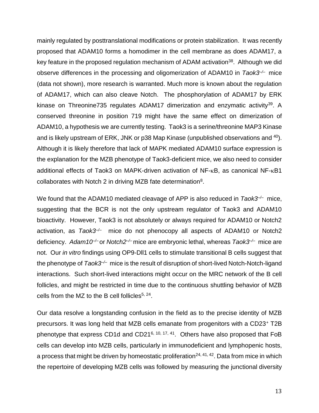mainly regulated by posttranslational modifications or protein stabilization. It was recently proposed that ADAM10 forms a homodimer in the cell membrane as does ADAM17, a key feature in the proposed regulation mechanism of ADAM activation<sup>[38](#page-26-4)</sup>. Although we did observe differences in the processing and oligomerization of ADAM10 in *Taok3–/–* mice (data not shown), more research is warranted. Much more is known about the regulation of ADAM17, which can also cleave Notch. The phosphorylation of ADAM17 by ERK kinase on Threonine735 regulates ADAM17 dimerization and enzymatic activity<sup>[39](#page-26-5)</sup>. A conserved threonine in position 719 might have the same effect on dimerization of ADAM10, a hypothesis we are currently testing. Taok3 is a serine/threonine MAP3 Kinase and is likely upstream of ERK, JNK or p38 Map Kinase (unpublished observations and <sup>[40](#page-26-6)</sup>). Although it is likely therefore that lack of MAPK mediated ADAM10 surface expression is the explanation for the MZB phenotype of Taok3-deficient mice, we also need to consider additional effects of Taok3 on MAPK-driven activation of NF- $\kappa$ B, as canonical NF- $\kappa$ B1 collaborates with Notch 2 in driving MZB fate determination $8$ .

We found that the ADAM10 mediated cleavage of APP is also reduced in *Taok3<sup>-/-</sup>* mice, suggesting that the BCR is not the only upstream regulator of Taok3 and ADAM10 bioactivity. However, Taok3 is not absolutely or always required for ADAM10 or Notch2 activation, as *Taok3–/–* mice do not phenocopy all aspects of ADAM10 or Notch2 deficiency. Adam10<sup>→</sup> or Notch2<sup>→</sup> mice are embryonic lethal, whereas *Taok3*<sup>→</sup> mice are not. Our *in vitro* findings using OP9-Dll1 cells to stimulate transitional B cells suggest that the phenotype of *Taok3–/–* mice is the result of disruption of short-lived Notch-Notch-ligand interactions. Such short-lived interactions might occur on the MRC network of the B cell follicles, and might be restricted in time due to the continuous shuttling behavior of MZB cells from the MZ to the B cell follicles<sup>[5,](#page-23-5) [24](#page-25-2)</sup>.

Our data resolve a longstanding confusion in the field as to the precise identity of MZB precursors. It was long held that MZB cells emanate from progenitors with a CD23<sup>+</sup> T2B phenotype that express CD1d and CD21<sup>[6,](#page-23-2) [10,](#page-24-8) [17,](#page-24-1) [41](#page-26-7)</sup>. Others have also proposed that FoB cells can develop into MZB cells, particularly in immunodeficient and lymphopenic hosts, a process that might be driven by homeostatic proliferation<sup>[24,](#page-25-2) [41,](#page-26-7) [42](#page-26-8)</sup>. Data from mice in which the repertoire of developing MZB cells was followed by measuring the junctional diversity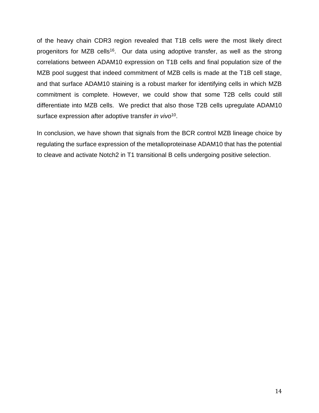of the heavy chain CDR3 region revealed that T1B cells were the most likely direct progenitors for MZB cells<sup>[16](#page-24-9)</sup>. Our data using adoptive transfer, as well as the strong correlations between ADAM10 expression on T1B cells and final population size of the MZB pool suggest that indeed commitment of MZB cells is made at the T1B cell stage, and that surface ADAM10 staining is a robust marker for identifying cells in which MZB commitment is complete. However, we could show that some T2B cells could still differentiate into MZB cells. We predict that also those T2B cells upregulate ADAM10 surface expression after adoptive transfer *in vivo*<sup>[10](#page-24-8)</sup>.

In conclusion, we have shown that signals from the BCR control MZB lineage choice by regulating the surface expression of the metalloproteinase ADAM10 that has the potential to cleave and activate Notch2 in T1 transitional B cells undergoing positive selection.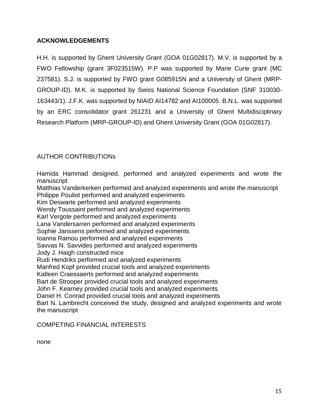# **ACKNOWLEDGEMENTS**

H.H. is supported by Ghent University Grant (GOA 01G02817). M.V. is supported by a FWO Fellowship (grant 3F023515W). P.P was supported by Marie Curie grant (MC 237581). S.J. is supported by FWO grant G085915N and a University of Ghent (MRP-GROUP-ID). M.K. is supported by Swiss National Science Foundation (SNF 310030- 163443/1). J.F.K. was supported by NIAID AI14782 and AI100005. B.N.L. was supported by an ERC consolidator grant 261231 and a University of Ghent Multidisciplinary Research Platform (MRP-GROUP-ID) and Ghent University Grant (GOA 01G02817).

### AUTHOR CONTRIBUTIONs

Hamida Hammad designed, performed and analyzed experiments and wrote the manuscript

Matthias Vanderkerken performed and analyzed experiments and wrote the manuscript Philippe Pouliot performed and analyzed experiments

Kim Deswarte performed and analyzed experiments

Wendy Toussaint performed and analyzed experiments

Karl Vergote performed and analyzed experiments

Lana Vandersarren performed and analyzed experiments

Sophie Janssens performed and analyzed experiments

Ioanna Ramou performed and analyzed experiments

Savvas N. Savvides performed and analyzed experiments

Jody J. Haigh constructed mice

Rudi Hendriks performed and analyzed experiments

Manfred Kopf provided crucial tools and analyzed experiments

Katleen Craessaerts performed and analyzed experiments

Bart de Strooper provided crucial tools and analyzed experiments

John F. Kearney provided crucial tools and analyzed experiments

Daniel H. Conrad provided crucial tools and analyzed experiments

Bart N. Lambrecht conceived the study, designed and analyzed experiments and wrote the manuscript

### COMPETING FINANCIAL INTERESTS

none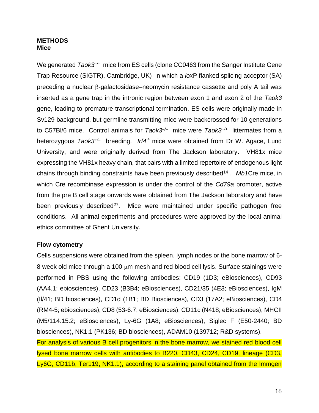### **METHODS Mice**

We generated *Taok3<sup>-/-</sup>* mice from ES cells (clone CC0463 from the Sanger Institute Gene Trap Resource (SIGTR), Cambridge, UK) in which a *lox*P flanked splicing acceptor (SA) preceding a nuclear  $\beta$ -galactosidase–neomycin resistance cassette and poly A tail was inserted as a gene trap in the intronic region between exon 1 and exon 2 of the *Taok3* gene, leading to premature transcriptional termination. ES cells were originally made in Sv129 background, but germline transmitting mice were backcrossed for 10 generations to C57Bl/6 mice. Control animals for *Taok3–/–* mice were *Taok3+/+* littermates from a heterozygous *Taok3+/–* breeding. *Irf4*-/- mice were obtained from Dr W. Agace, Lund University, and were originally derived from The Jackson laboratory. VH81x mice expressing the VH81x heavy chain, that pairs with a limited repertoire of endogenous light chains through binding constraints have been previously described[14](#page-24-0) . *Mb1*Cre mice, in which Cre recombinase expression is under the control of the *Cd79a* promoter, active from the pre B cell stage onwards were obtained from The Jackson laboratory and have been previously described<sup>[27](#page-25-3)</sup>. Mice were maintained under specific pathogen free conditions. All animal experiments and procedures were approved by the local animal ethics committee of Ghent University.

# **Flow cytometry**

Cells suspensions were obtained from the spleen, lymph nodes or the bone marrow of 6- 8 week old mice through a 100 µm mesh and red blood cell lysis. Surface stainings were performed in PBS using the following antibodies: CD19 (1D3; eBiosciences), CD93 (AA4.1; ebiosciences), CD23 (B3B4; eBiosciences), CD21/35 (4E3; eBiosciences), IgM (Il/41; BD biosciences), CD1d (1B1; BD Biosciences), CD3 (17A2; eBiosciences), CD4 (RM4-5; ebiosciences), CD8 (53-6.7; eBiosciences), CD11c (N418; eBiosciences), MHCII (M5/114.15.2; eBiosciences), Ly-6G (1A8; eBiosciences), Siglec F (E50-2440; BD biosciences), NK1.1 (PK136; BD biosciences), ADAM10 (139712; R&D systems).

For analysis of various B cell progenitors in the bone marrow, we stained red blood cell lysed bone marrow cells with antibodies to B220, CD43, CD24, CD19, lineage (CD3, Ly6G, CD11b, Ter119, NK1.1), according to a staining panel obtained from the Immgen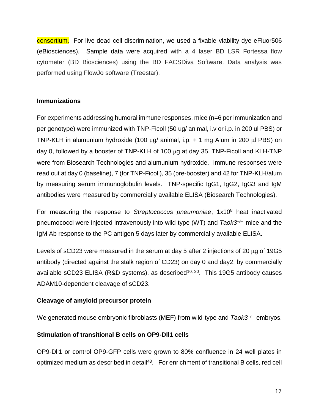consortium. For live-dead cell discrimination, we used a fixable viability dye eFluor506 (eBiosciences). Sample data were acquired with a 4 laser BD LSR Fortessa flow cytometer (BD Biosciences) using the BD FACSDiva Software. Data analysis was performed using FlowJo software (Treestar).

### **Immunizations**

For experiments addressing humoral immune responses, mice (n=6 per immunization and per genotype) were immunized with TNP-Ficoll (50 ug/ animal, i.v or i.p. in 200 ul PBS) or TNP-KLH in alumunium hydroxide (100  $\mu$ g/ animal, i.p. + 1 mg Alum in 200  $\mu$ l PBS) on day 0, followed by a booster of TNP-KLH of 100  $\mu$ g at day 35. TNP-Ficoll and KLH-TNP were from Biosearch Technologies and alumunium hydroxide. Immune responses were read out at day 0 (baseline), 7 (for TNP-Ficoll), 35 (pre-booster) and 42 for TNP-KLH/alum by measuring serum immunoglobulin levels. TNP-specific IgG1, IgG2, IgG3 and IgM antibodies were measured by commercially available ELISA (Biosearch Technologies).

For measuring the response to *Streptococcus pneumoniae*, 1x10<sup>8</sup> heat inactivated pneumococci were injected intravenously into wild-type (WT) and *Taok3–/–* mice and the IgM Ab response to the PC antigen 5 days later by commercially available ELISA.

Levels of sCD23 were measured in the serum at day 5 after 2 injections of 20  $\mu$ g of 19G5 antibody (directed against the stalk region of CD23) on day 0 and day2, by commercially available sCD23 ELISA (R&D systems), as described<sup>[10,](#page-24-8) [30](#page-25-6)</sup>. This 19G5 antibody causes ADAM10-dependent cleavage of sCD23.

# **Cleavage of amyloid precursor protein**

We generated mouse embryonic fibroblasts (MEF) from wild-type and *Taok3–/–* embryos.

# **Stimulation of transitional B cells on OP9-Dll1 cells**

OP9-Dll1 or control OP9-GFP cells were grown to 80% confluence in 24 well plates in optimized medium as described in detail<sup>[43](#page-26-9)</sup>. For enrichment of transitional B cells, red cell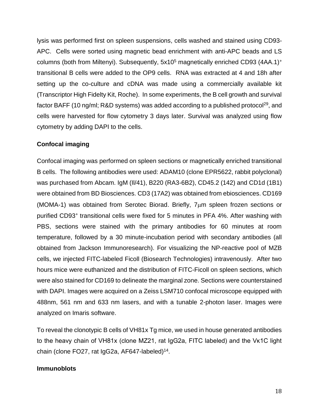lysis was performed first on spleen suspensions, cells washed and stained using CD93- APC. Cells were sorted using magnetic bead enrichment with anti-APC beads and LS columns (both from Miltenyi). Subsequently,  $5x10^5$  magnetically enriched CD93 (4AA.1)<sup>+</sup> transitional B cells were added to the OP9 cells. RNA was extracted at 4 and 18h after setting up the co-culture and cDNA was made using a commercially available kit (Transcriptor High Fidelty Kit, Roche). In some experiments, the B cell growth and survival factor BAFF (10 ng/ml; R&D systems) was added according to a published protocol<sup>[29](#page-25-5)</sup>, and cells were harvested for flow cytometry 3 days later. Survival was analyzed using flow cytometry by adding DAPI to the cells.

# **Confocal imaging**

Confocal imaging was performed on spleen sections or magnetically enriched transitional B cells. The following antibodies were used: ADAM10 (clone EPR5622, rabbit polyclonal) was purchased from Abcam. IgM (Il/41), B220 (RA3-6B2), CD45.2 (142) and CD1d (1B1) were obtained from BD Biosciences. CD3 (17A2) was obtained from ebiosciences. CD169 (MOMA-1) was obtained from Serotec Biorad. Briefly, 7um spleen frozen sections or purified CD93<sup>+</sup> transitional cells were fixed for 5 minutes in PFA 4%. After washing with PBS, sections were stained with the primary antibodies for 60 minutes at room temperature, followed by a 30 minute-incubation period with secondary antibodies (all obtained from Jackson Immunoresearch). For visualizing the NP-reactive pool of MZB cells, we injected FITC-labeled Ficoll (Biosearch Technologies) intravenously. After two hours mice were euthanized and the distribution of FITC-Ficoll on spleen sections, which were also stained for CD169 to delineate the marginal zone. Sections were counterstained with DAPI. Images were acquired on a Zeiss LSM710 confocal microscope equipped with 488nm, 561 nm and 633 nm lasers, and with a tunable 2-photon laser. Images were analyzed on Imaris software.

To reveal the clonotypic B cells of VH81x Tg mice, we used in house generated antibodies to the heavy chain of VH81x (clone MZ21, rat IgG2a, FITC labeled) and the Vκ1C light chain (clone FO27, rat IgG2a, AF647-labeled)<sup>[14](#page-24-0)</sup>.

# **Immunoblots**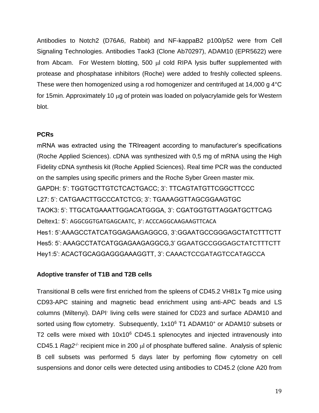Antibodies to Notch2 (D76A6, Rabbit) and NF-kappaB2 p100/p52 were from Cell Signaling Technologies. Antibodies Taok3 (Clone Ab70297), ADAM10 (EPR5622) were from Abcam. For Western blotting, 500  $\mu$ l cold RIPA lysis buffer supplemented with protease and phosphatase inhibitors (Roche) were added to freshly collected spleens. These were then homogenized using a rod homogenizer and centrifuged at 14,000 g 4°C for 15min. Approximately 10 µg of protein was loaded on polyacrylamide gels for Western blot.

# **PCRs**

mRNA was extracted using the TRIreagent according to manufacturer's specifications (Roche Applied Sciences). cDNA was synthesized with 0,5 mg of mRNA using the High Fidelity cDNA synthesis kit (Roche Applied Sciences). Real time PCR was the conducted on the samples using specific primers and the Roche Syber Green master mix. GAPDH: 5': TGGTGCTTGTCTCACTGACC; 3': TTCAGTATGTTCGGCTTCCC L27: 5': CATGAACTTGCCCATCTCG; 3': TGAAAGGTTAGCGGAAGTGC TAOK3: 5': TTGCATGAAATTGGACATGGGA, 3': CGATGGTGTTAGGATGCTTCAG Deltex1: 5': AGGCGGTGATGAGCAATC, 3': ACCCAGGCAAGAAGTTCACA Hes1: 5':AAAGCCTATCATGGAGAAGAGGCG, 3':GGAATGCCGGGAGCTATCTTTCTT Hes5: 5': AAAGCCTATCATGGAGAAGAGGCG,3' GGAATGCCGGGAGCTATCTTTCTT Hey1:5': ACACTGCAGGAGGGAAAGGTT, 3': CAAACTCCGATAGTCCATAGCCA

# **Adoptive transfer of T1B and T2B cells**

Transitional B cells were first enriched from the spleens of CD45.2 VH81x Tg mice using CD93-APC staining and magnetic bead enrichment using anti-APC beads and LS columns (Miltenyi). DAPI-living cells were stained for CD23 and surface ADAM10 and sorted using flow cytometry. Subsequently, 1x10<sup>6</sup> T1 ADAM10<sup>+</sup> or ADAM10<sup>-</sup> subsets or T2 cells were mixed with 10x10<sup>6</sup> CD45.1 splenocytes and injected intravenously into CD45.1 Rag2<sup>-/-</sup> recipient mice in 200 µl of phosphate buffered saline. Analysis of splenic B cell subsets was performed 5 days later by perfoming flow cytometry on cell suspensions and donor cells were detected using antibodies to CD45.2 (clone A20 from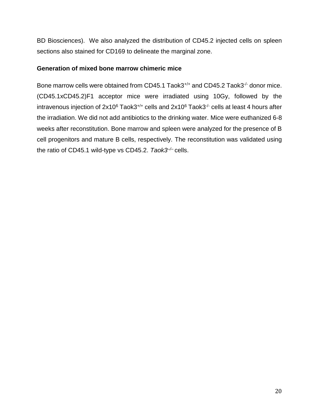BD Biosciences). We also analyzed the distribution of CD45.2 injected cells on spleen sections also stained for CD169 to delineate the marginal zone.

### **Generation of mixed bone marrow chimeric mice**

Bone marrow cells were obtained from CD45.1 Taok3<sup>+/+</sup> and CD45.2 Taok3<sup>-/-</sup> donor mice. (CD45.1xCD45.2)F1 acceptor mice were irradiated using 10Gy, followed by the intravenous injection of  $2x10^6$  Taok3<sup>+/+</sup> cells and  $2x10^6$  Taok3<sup>-/-</sup> cells at least 4 hours after the irradiation. We did not add antibiotics to the drinking water. Mice were euthanized 6-8 weeks after reconstitution. Bone marrow and spleen were analyzed for the presence of B cell progenitors and mature B cells, respectively. The reconstitution was validated using the ratio of CD45.1 wild-type vs CD45.2. *Taok3–/–* cells.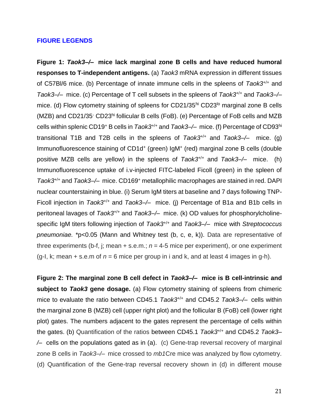#### **FIGURE LEGENDS**

**Figure 1:** *Taok3–/–* **mice lack marginal zone B cells and have reduced humoral responses to T-independent antigens.** (a) *Taok3* mRNA expression in different tissues of C57Bl/6 mice. (b) Percentage of innate immune cells in the spleens of *Taok3*+/+ and *Taok3–/–* mice. (c) Percentage of T cell subsets in the spleens of *Taok3*+/+ and *Taok3–/–* mice. (d) Flow cytometry staining of spleens for CD21/35hi CD23<sup>lo</sup> marginal zone B cells (MZB) and CD21/35- CD23hi follicular B cells (FoB). (e) Percentage of FoB cells and MZB cells within splenic CD19<sup>+</sup> B cells in *Taok3*+/+ and *Taok3–/–* mice. (f) Percentage of CD93hi transitional T1B and T2B cells in the spleens of *Taok3*+/+ and *Taok3–/–* mice. (g) Immunofluorescence staining of CD1d<sup>+</sup> (green) IgM<sup>+</sup> (red) marginal zone B cells (double positive MZB cells are yellow) in the spleens of *Taok3*+/+ and *Taok3–/–* mice. (h) Immunofluorescence uptake of i.v-injected FITC-labeled Ficoll (green) in the spleen of *Taok3*+/+ and *Taok3–/–* mice. CD169<sup>+</sup> metallophilic macrophages are stained in red. DAPI nuclear counterstaining in blue. (i) Serum IgM titers at baseline and 7 days following TNP-Ficoll injection in *Taok3*+/+ and *Taok3–/–* mice. (j) Percentage of B1a and B1b cells in peritoneal lavages of *Taok3*+/+ and *Taok3–/–* mice. (k) OD values for phosphorylcholinespecific IgM titers following injection of *Taok3*+/+ and *Taok3–/–* mice with *Streptococcus pneumoniae.* \*p<0.05 (Mann and Whitney test (b, c, e, k)). Data are representative of three experiments (b-f, j; mean  $+$  s.e.m.;  $n = 4$ -5 mice per experiment), or one experiment (g-I, k; mean  $+$  s.e.m of  $n = 6$  mice per group in i and k, and at least 4 images in g-h).

**Figure 2: The marginal zone B cell defect in** *Taok3–/–* **mice is B cell-intrinsic and subject to** *Taok3* **gene dosage.** (a) Flow cytometry staining of spleens from chimeric mice to evaluate the ratio between CD45.1 *Taok3*+/+ and CD45.2 *Taok3–/–* cells within the marginal zone B (MZB) cell (upper right plot) and the follicular B (FoB) cell (lower right plot) gates. The numbers adjacent to the gates represent the percentage of cells within the gates. (b) Quantification of the ratios between CD45.1 *Taok3*+/+ and CD45.2 *Taok3– /–* cells on the populations gated as in (a). (c) Gene-trap reversal recovery of marginal zone B cells in *Taok3–/–* mice crossed to *mb1*Cre mice was analyzed by flow cytometry. (d) Quantification of the Gene-trap reversal recovery shown in (d) in different mouse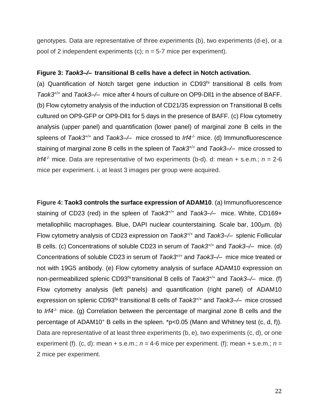genotypes. Data are representative of three experiments (b), two experiments (d-e), or a pool of 2 independent experiments (c);  $n = 5-7$  mice per experiment).

#### **Figure 3:** *Taok3–/–* **transitional B cells have a defect in Notch activation.**

(a) Quantification of Notch target gene induction in CD93hi transitional B cells from *Taok3*+/+ and *Taok3–/–* mice after 4 hours of culture on OP9-Dll1 in the absence of BAFF. (b) Flow cytometry analysis of the induction of CD21/35 expression on Transitional B cells cultured on OP9-GFP or OP9-Dll1 for 5 days in the presence of BAFF. (c) Flow cytometry analysis (upper panel) and quantification (lower panel) of marginal zone B cells in the spleens of *Taok3*<sup>+/+</sup> and *Taok3*-/- mice crossed to *Irf4<sup>-/-</sup>* mice. (d) Immunofluorescence staining of marginal zone B cells in the spleen of *Taok3*+/+ and *Taok3–/–* mice crossed to *Irf4<sup>* $\prime$ *-*</sup> mice. Data are representative of two experiments (b-d). d: mean + s.e.m.;  $n = 2-6$ mice per experiment. i, at least 3 images per group were acquired.

**Figure 4: Taok3 controls the surface expression of ADAM10**. (a) Immunofluorescence staining of CD23 (red) in the spleen of *Taok3*+/+ and *Taok3–/–* mice. White, CD169+ metallophilic macrophages. Blue, DAPI nuclear counterstaining. Scale bar, 100um. (b) Flow cytometry analysis of CD23 expression on *Taok3*+/+ and *Taok3–/–* splenic Follicular B cells. (c) Concentrations of soluble CD23 in serum of *Taok3*+/+ and *Taok3–/–* mice. (d) Concentrations of soluble CD23 in serum of *Taok3*+/+ and *Taok3–/–* mice mice treated or not with 19G5 antibody. (e) Flow cytometry analysis of surface ADAM10 expression on non-permeabilized splenic CD93hi transitional B cells of *Taok3*+/+ and *Taok3–/–* mice. (f) Flow cytometry analysis (left panels) and quantification (right panel) of ADAM10 expression on splenic CD93hi transitional B cells of *Taok3*+/+ and *Taok3–/–* mice crossed to *Irf4<sup>1-</sup>* mice. (g) Correlation between the percentage of marginal zone B cells and the percentage of ADAM10<sup>+</sup> B cells in the spleen. \*p<0.05 (Mann and Whitney test (c, d, f)). Data are representative of at least three experiments (b, e), two experiments (c, d), or one experiment (f). (c, d): mean + s.e.m.;  $n = 4$ -6 mice per experiment. (f): mean + s.e.m.;  $n =$ 2 mice per experiment.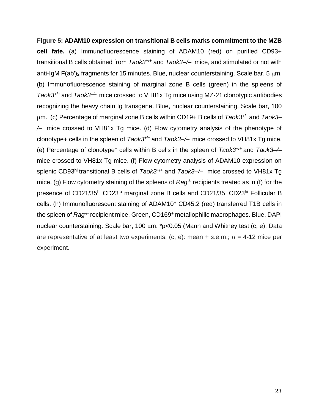# **Figure 5: ADAM10 expression on transitional B cells marks commitment to the MZB**

**cell fate.** (a) Immunofluorescence staining of ADAM10 (red) on purified CD93+ transitional B cells obtained from *Taok3*+/+ and *Taok3–/–* mice, and stimulated or not with anti-IgM  $F(ab')_2$  fragments for 15 minutes. Blue, nuclear counterstaining. Scale bar, 5  $\mu$ m. (b) Immunofluorescence staining of marginal zone B cells (green) in the spleens of *Taok3*+/+ and *Taok3–/–* mice crossed to VH81x Tg mice using MZ-21 clonotypic antibodies recognizing the heavy chain Ig transgene. Blue, nuclear counterstaining. Scale bar, 100 m. (c) Percentage of marginal zone B cells within CD19+ B cells of *Taok3*+/+ and *Taok3– /–* mice crossed to VH81x Tg mice. (d) Flow cytometry analysis of the phenotype of clonotype+ cells in the spleen of *Taok3*+/+ and *Taok3–/–* mice crossed to VH81x Tg mice. (e) Percentage of clonotype<sup>+</sup> cells within B cells in the spleen of *Taok3*+/+ and *Taok3–/–* mice crossed to VH81x Tg mice. (f) Flow cytometry analysis of ADAM10 expression on splenic CD93hi transitional B cells of *Taok3*+/+ and *Taok3–/–* mice crossed to VH81x Tg mice. (g) Flow cytometry staining of the spleens of *Rag*<sup>-</sup> recipients treated as in (f) for the presence of CD21/35hi CD23<sup>to</sup> marginal zone B cells and CD21/35<sup>-</sup> CD23hi Follicular B cells. (h) Immunofluorescent staining of ADAM10<sup>+</sup> CD45.2 (red) transferred T1B cells in the spleen of *Rag<sup>/-</sup>* recipient mice. Green, CD169<sup>+</sup> metallophilic macrophages. Blue, DAPI nuclear counterstaining. Scale bar, 100  $\mu$ m. \*p<0.05 (Mann and Whitney test (c, e). Data are representative of at least two experiments. (c, e): mean + s.e.m.; *n* = 4-12 mice per experiment.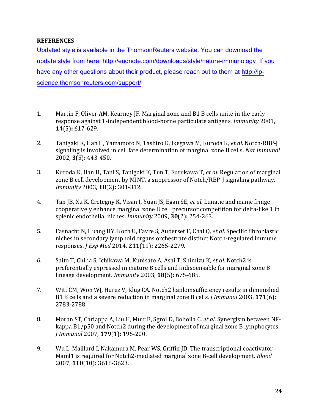#### **REFERENCES**

Updated style is available in the ThomsonReuters website. You can download the update style from here:<http://endnote.com/downloads/style/nature-immunology>If you have any other questions about their product, please reach out to them at [http://ip](http://ip-science.thomsonreuters.com/support/)[science.thomsonreuters.com/support/](http://ip-science.thomsonreuters.com/support/)

- <span id="page-23-0"></span>1. Martin F, Oliver AM, Kearney JF. Marginal zone and B1 B cells unite in the early response against T-independent blood-borne particulate antigens. *Immunity* 2001, **14**(5)**:** 617-629.
- <span id="page-23-1"></span>2. Tanigaki K, Han H, Yamamoto N, Tashiro K, Ikegawa M, Kuroda K*, et al.* Notch-RBP-J signaling is involved in cell fate determination of marginal zone B cells. *Nat Immunol* 2002, **3**(5)**:** 443-450.
- 3. Kuroda K, Han H, Tani S, Tanigaki K, Tun T, Furukawa T*, et al.* Regulation of marginal zone B cell development by MINT, a suppressor of Notch/RBP-J signaling pathway. *Immunity* 2003, **18**(2)**:** 301-312.
- <span id="page-23-4"></span>4. Tan JB, Xu K, Cretegny K, Visan I, Yuan JS, Egan SE*, et al.* Lunatic and manic fringe cooperatively enhance marginal zone B cell precursor competition for delta-like 1 in splenic endothelial niches. *Immunity* 2009, **30**(2)**:** 254-263.
- <span id="page-23-5"></span>5. Fasnacht N, Huang HY, Koch U, Favre S, Auderset F, Chai Q*, et al.* Specific fibroblastic niches in secondary lymphoid organs orchestrate distinct Notch-regulated immune responses. *J Exp Med* 2014, **211**(11)**:** 2265-2279.
- <span id="page-23-2"></span>6. Saito T, Chiba S, Ichikawa M, Kunisato A, Asai T, Shimizu K*, et al.* Notch2 is preferentially expressed in mature B cells and indispensable for marginal zone B lineage development. *Immunity* 2003, **18**(5)**:** 675-685.
- <span id="page-23-3"></span>7. Witt CM, Won WJ, Hurez V, Klug CA. Notch2 haploinsufficiency results in diminished B1 B cells and a severe reduction in marginal zone B cells. *J Immunol* 2003, **171**(6)**:** 2783-2788.
- <span id="page-23-6"></span>8. Moran ST, Cariappa A, Liu H, Muir B, Sgroi D, Boboila C*, et al.* Synergism between NFkappa B1/p50 and Notch2 during the development of marginal zone B lymphocytes. *J Immunol* 2007, **179**(1)**:** 195-200.
- 9. Wu L, Maillard I, Nakamura M, Pear WS, Griffin JD. The transcriptional coactivator Maml1 is required for Notch2-mediated marginal zone B-cell development. *Blood* 2007, **110**(10)**:** 3618-3623.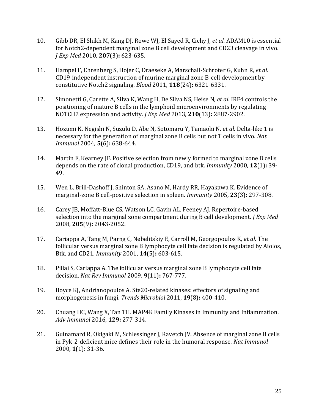- <span id="page-24-8"></span>10. Gibb DR, El Shikh M, Kang DJ, Rowe WJ, El Sayed R, Cichy J*, et al.* ADAM10 is essential for Notch2-dependent marginal zone B cell development and CD23 cleavage in vivo. *J Exp Med* 2010, **207**(3)**:** 623-635.
- <span id="page-24-6"></span>11. Hampel F, Ehrenberg S, Hojer C, Draeseke A, Marschall-Schroter G, Kuhn R*, et al.* CD19-independent instruction of murine marginal zone B-cell development by constitutive Notch2 signaling. *Blood* 2011, **118**(24)**:** 6321-6331.
- <span id="page-24-7"></span>12. Simonetti G, Carette A, Silva K, Wang H, De Silva NS, Heise N*, et al.* IRF4 controls the positioning of mature B cells in the lymphoid microenvironments by regulating NOTCH2 expression and activity. *J Exp Med* 2013, **210**(13)**:** 2887-2902.
- 13. Hozumi K, Negishi N, Suzuki D, Abe N, Sotomaru Y, Tamaoki N*, et al.* Delta-like 1 is necessary for the generation of marginal zone B cells but not T cells in vivo. *Nat Immunol* 2004, **5**(6)**:** 638-644.
- <span id="page-24-0"></span>14. Martin F, Kearney JF. Positive selection from newly formed to marginal zone B cells depends on the rate of clonal production, CD19, and btk. *Immunity* 2000, **12**(1)**:** 39- 49.
- <span id="page-24-10"></span>15. Wen L, Brill-Dashoff J, Shinton SA, Asano M, Hardy RR, Hayakawa K. Evidence of marginal-zone B cell-positive selection in spleen. *Immunity* 2005, **23**(3)**:** 297-308.
- <span id="page-24-9"></span>16. Carey JB, Moffatt-Blue CS, Watson LC, Gavin AL, Feeney AJ. Repertoire-based selection into the marginal zone compartment during B cell development. *J Exp Med* 2008, **205**(9)**:** 2043-2052.
- <span id="page-24-1"></span>17. Cariappa A, Tang M, Parng C, Nebelitskiy E, Carroll M, Georgopoulos K*, et al.* The follicular versus marginal zone B lymphocyte cell fate decision is regulated by Aiolos, Btk, and CD21. *Immunity* 2001, **14**(5)**:** 603-615.
- <span id="page-24-2"></span>18. Pillai S, Cariappa A. The follicular versus marginal zone B lymphocyte cell fate decision. *Nat Rev Immunol* 2009, **9**(11)**:** 767-777.
- <span id="page-24-3"></span>19. Boyce KJ, Andrianopoulos A. Ste20-related kinases: effectors of signaling and morphogenesis in fungi. *Trends Microbiol* 2011, **19**(8)**:** 400-410.
- <span id="page-24-4"></span>20. Chuang HC, Wang X, Tan TH. MAP4K Family Kinases in Immunity and Inflammation. *Adv Immunol* 2016, **129:** 277-314.
- <span id="page-24-5"></span>21. Guinamard R, Okigaki M, Schlessinger J, Ravetch JV. Absence of marginal zone B cells in Pyk-2-deficient mice defines their role in the humoral response. *Nat Immunol* 2000, **1**(1)**:** 31-36.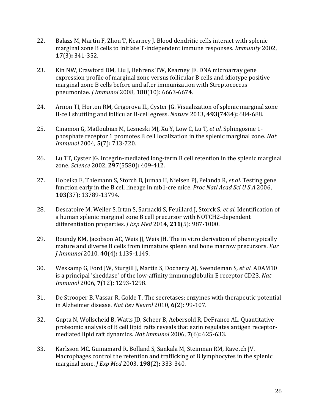- <span id="page-25-0"></span>22. Balazs M, Martin F, Zhou T, Kearney J. Blood dendritic cells interact with splenic marginal zone B cells to initiate T-independent immune responses. *Immunity* 2002, **17**(3)**:** 341-352.
- <span id="page-25-1"></span>23. Kin NW, Crawford DM, Liu J, Behrens TW, Kearney JF. DNA microarray gene expression profile of marginal zone versus follicular B cells and idiotype positive marginal zone B cells before and after immunization with Streptococcus pneumoniae. *J Immunol* 2008, **180**(10)**:** 6663-6674.
- <span id="page-25-2"></span>24. Arnon TI, Horton RM, Grigorova IL, Cyster JG. Visualization of splenic marginal zone B-cell shuttling and follicular B-cell egress. *Nature* 2013, **493**(7434)**:** 684-688.
- <span id="page-25-9"></span>25. Cinamon G, Matloubian M, Lesneski MJ, Xu Y, Low C, Lu T*, et al.* Sphingosine 1 phosphate receptor 1 promotes B cell localization in the splenic marginal zone. *Nat Immunol* 2004, **5**(7)**:** 713-720.
- <span id="page-25-10"></span>26. Lu TT, Cyster JG. Integrin-mediated long-term B cell retention in the splenic marginal zone. *Science* 2002, **297**(5580)**:** 409-412.
- <span id="page-25-3"></span>27. Hobeika E, Thiemann S, Storch B, Jumaa H, Nielsen PJ, Pelanda R*, et al.* Testing gene function early in the B cell lineage in mb1-cre mice. *Proc Natl Acad Sci U S A* 2006, **103**(37)**:** 13789-13794.
- <span id="page-25-4"></span>28. Descatoire M, Weller S, Irtan S, Sarnacki S, Feuillard J, Storck S*, et al.* Identification of a human splenic marginal zone B cell precursor with NOTCH2-dependent differentiation properties. *J Exp Med* 2014, **211**(5)**:** 987-1000.
- <span id="page-25-5"></span>29. Roundy KM, Jacobson AC, Weis JJ, Weis JH. The in vitro derivation of phenotypically mature and diverse B cells from immature spleen and bone marrow precursors. *Eur J Immunol* 2010, **40**(4)**:** 1139-1149.
- <span id="page-25-6"></span>30. Weskamp G, Ford JW, Sturgill J, Martin S, Docherty AJ, Swendeman S*, et al.* ADAM10 is a principal 'sheddase' of the low-affinity immunoglobulin E receptor CD23. *Nat Immunol* 2006, **7**(12)**:** 1293-1298.
- <span id="page-25-7"></span>31. De Strooper B, Vassar R, Golde T. The secretases: enzymes with therapeutic potential in Alzheimer disease. *Nat Rev Neurol* 2010, **6**(2)**:** 99-107.
- <span id="page-25-8"></span>32. Gupta N, Wollscheid B, Watts JD, Scheer B, Aebersold R, DeFranco AL. Quantitative proteomic analysis of B cell lipid rafts reveals that ezrin regulates antigen receptormediated lipid raft dynamics. *Nat Immunol* 2006, **7**(6)**:** 625-633.
- <span id="page-25-11"></span>33. Karlsson MC, Guinamard R, Bolland S, Sankala M, Steinman RM, Ravetch JV. Macrophages control the retention and trafficking of B lymphocytes in the splenic marginal zone. *J Exp Med* 2003, **198**(2)**:** 333-340.